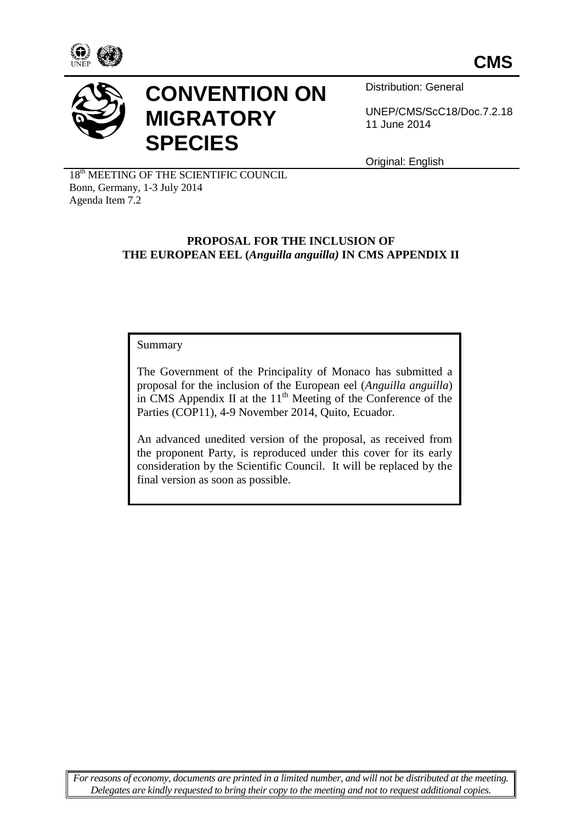



# **CONVENTION ON MIGRATORY SPECIES**

Distribution: General

UNEP/CMS/ScC18/Doc.7.2.18 11 June 2014

Original: English

18<sup>th</sup> MEETING OF THE SCIENTIFIC COUNCIL Bonn, Germany, 1-3 July 2014 Agenda Item 7.2

#### **PROPOSAL FOR THE INCLUSION OF THE EUROPEAN EEL (***Anguilla anguilla)* **IN CMS APPENDIX II**

Summary

The Government of the Principality of Monaco has submitted a proposal for the inclusion of the European eel (*Anguilla anguilla*) in CMS Appendix II at the 11<sup>th</sup> Meeting of the Conference of the Parties (COP11), 4-9 November 2014, Quito, Ecuador.

An advanced unedited version of the proposal, as received from the proponent Party, is reproduced under this cover for its early consideration by the Scientific Council. It will be replaced by the final version as soon as possible.

*For reasons of economy, documents are printed in a limited number, and will not be distributed at the meeting. Delegates are kindly requested to bring their copy to the meeting and not to request additional copies.*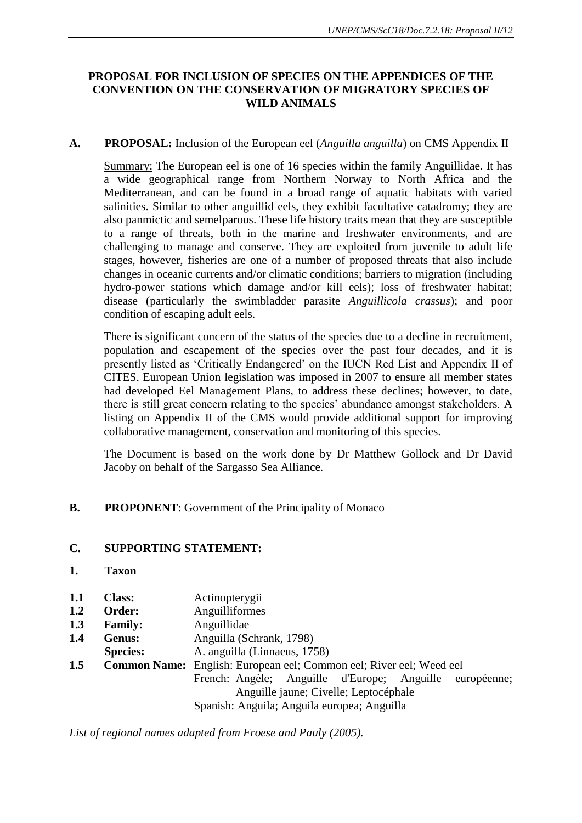## **PROPOSAL FOR INCLUSION OF SPECIES ON THE APPENDICES OF THE CONVENTION ON THE CONSERVATION OF MIGRATORY SPECIES OF WILD ANIMALS**

## **A. PROPOSAL:** Inclusion of the European eel (*Anguilla anguilla*) on CMS Appendix II

Summary: The European eel is one of 16 species within the family Anguillidae. It has a wide geographical range from Northern Norway to North Africa and the Mediterranean, and can be found in a broad range of aquatic habitats with varied salinities. Similar to other anguillid eels, they exhibit facultative catadromy; they are also panmictic and semelparous. These life history traits mean that they are susceptible to a range of threats, both in the marine and freshwater environments, and are challenging to manage and conserve. They are exploited from juvenile to adult life stages, however, fisheries are one of a number of proposed threats that also include changes in oceanic currents and/or climatic conditions; barriers to migration (including hydro-power stations which damage and/or kill eels); loss of freshwater habitat; disease (particularly the swimbladder parasite *Anguillicola crassus*); and poor condition of escaping adult eels.

There is significant concern of the status of the species due to a decline in recruitment, population and escapement of the species over the past four decades, and it is presently listed as 'Critically Endangered' on the IUCN Red List and Appendix II of CITES. European Union legislation was imposed in 2007 to ensure all member states had developed Eel Management Plans, to address these declines; however, to date, there is still great concern relating to the species' abundance amongst stakeholders. A listing on Appendix II of the CMS would provide additional support for improving collaborative management, conservation and monitoring of this species.

The Document is based on the work done by Dr Matthew Gollock and Dr David Jacoby on behalf of the Sargasso Sea Alliance.

**B. PROPONENT**: Government of the Principality of Monaco

## **C. SUPPORTING STATEMENT:**

- **1. Taxon**
- **1.1 Class:** Actinopterygii
- **1.2 Order:** Anguilliformes
- **1.3 Family:** Anguillidae
- **1.4 Genus:** Anguilla (Schrank, 1798)
- **Species:** A. anguilla (Linnaeus, 1758)

**1.5 Common Name:** English: European eel; Common eel; River eel; Weed eel French: Angèle; Anguille d'Europe; Anguille européenne; Anguille jaune; Civelle; Leptocéphale Spanish: Anguila; Anguila europea; Anguilla

*List of regional names adapted from Froese and Pauly (2005).*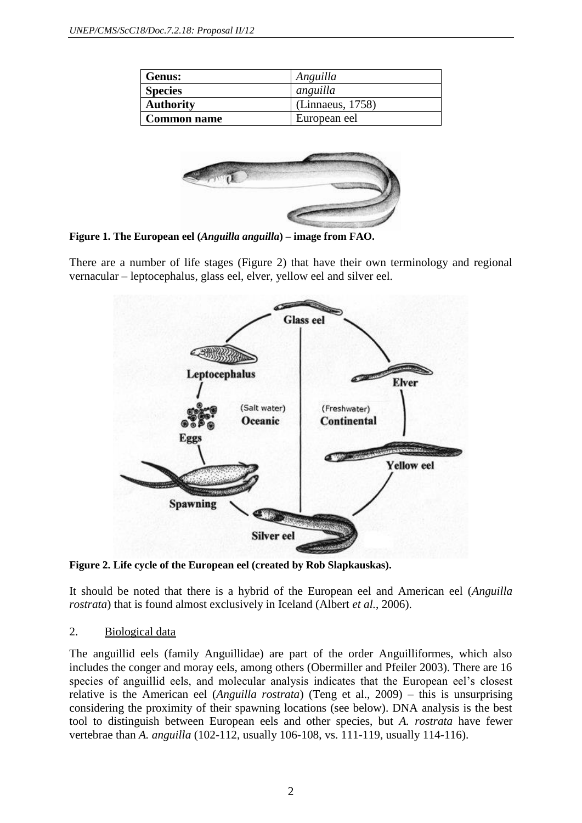| <b>Genus:</b>      | Anguilla         |
|--------------------|------------------|
| <b>Species</b>     | anguilla         |
| <b>Authority</b>   | (Linnaeus, 1758) |
| <b>Common name</b> | European eel     |



**Figure 1. The European eel (***Anguilla anguilla***) – image from FAO.**

There are a number of life stages (Figure 2) that have their own terminology and regional vernacular – leptocephalus, glass eel, elver, yellow eel and silver eel.



**Figure 2. Life cycle of the European eel (created by Rob Slapkauskas).**

It should be noted that there is a hybrid of the European eel and American eel (*Anguilla rostrata*) that is found almost exclusively in Iceland (Albert *et al.*, 2006).

## 2. Biological data

The anguillid eels (family Anguillidae) are part of the order Anguilliformes, which also includes the conger and moray eels, among others (Obermiller and Pfeiler 2003). There are 16 species of anguillid eels, and molecular analysis indicates that the European eel's closest relative is the American eel (*Anguilla rostrata*) (Teng et al., 2009) – this is unsurprising considering the proximity of their spawning locations (see below). DNA analysis is the best tool to distinguish between European eels and other species, but *A. rostrata* have fewer vertebrae than *A. anguilla* (102-112, usually 106-108, vs. 111-119, usually 114-116).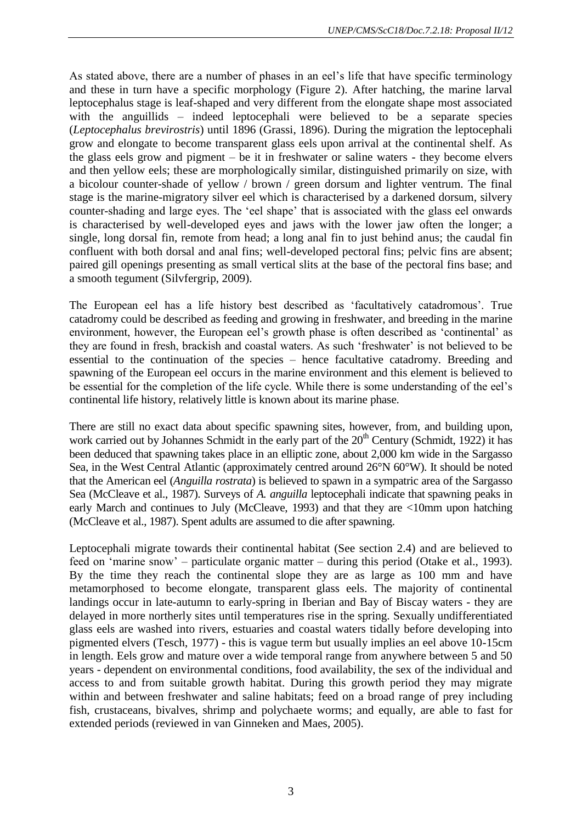As stated above, there are a number of phases in an eel's life that have specific terminology and these in turn have a specific morphology (Figure 2). After hatching, the marine larval leptocephalus stage is leaf-shaped and very different from the elongate shape most associated with the anguillids – indeed leptocephali were believed to be a separate species (*Leptocephalus brevirostris*) until 1896 (Grassi, 1896). During the migration the leptocephali grow and elongate to become transparent glass eels upon arrival at the continental shelf. As the glass eels grow and pigment – be it in freshwater or saline waters - they become elvers and then yellow eels; these are morphologically similar, distinguished primarily on size, with a bicolour counter-shade of yellow / brown / green dorsum and lighter ventrum. The final stage is the marine-migratory silver eel which is characterised by a darkened dorsum, silvery counter-shading and large eyes. The 'eel shape' that is associated with the glass eel onwards is characterised by well-developed eyes and jaws with the lower jaw often the longer; a single, long dorsal fin, remote from head; a long anal fin to just behind anus; the caudal fin confluent with both dorsal and anal fins; well-developed pectoral fins; pelvic fins are absent; paired gill openings presenting as small vertical slits at the base of the pectoral fins base; and a smooth tegument (Silvfergrip, 2009).

The European eel has a life history best described as 'facultatively catadromous'. True catadromy could be described as feeding and growing in freshwater, and breeding in the marine environment, however, the European eel's growth phase is often described as 'continental' as they are found in fresh, brackish and coastal waters. As such 'freshwater' is not believed to be essential to the continuation of the species – hence facultative catadromy. Breeding and spawning of the European eel occurs in the marine environment and this element is believed to be essential for the completion of the life cycle. While there is some understanding of the eel's continental life history, relatively little is known about its marine phase.

There are still no exact data about specific spawning sites, however, from, and building upon, work carried out by Johannes Schmidt in the early part of the  $20<sup>th</sup>$  Century (Schmidt, 1922) it has been deduced that spawning takes place in an elliptic zone, about 2,000 km wide in the Sargasso Sea, in the West Central Atlantic (approximately centred around 26°N 60°W). It should be noted that the American eel (*Anguilla rostrata*) is believed to spawn in a sympatric area of the Sargasso Sea (McCleave et al., 1987). Surveys of *A. anguilla* leptocephali indicate that spawning peaks in early March and continues to July (McCleave, 1993) and that they are <10mm upon hatching (McCleave et al., 1987). Spent adults are assumed to die after spawning.

Leptocephali migrate towards their continental habitat (See section 2.4) and are believed to feed on 'marine snow' – particulate organic matter – during this period (Otake et al., 1993). By the time they reach the continental slope they are as large as 100 mm and have metamorphosed to become elongate, transparent glass eels. The majority of continental landings occur in late-autumn to early-spring in Iberian and Bay of Biscay waters - they are delayed in more northerly sites until temperatures rise in the spring. Sexually undifferentiated glass eels are washed into rivers, estuaries and coastal waters tidally before developing into pigmented elvers (Tesch, 1977) - this is vague term but usually implies an eel above 10-15cm in length. Eels grow and mature over a wide temporal range from anywhere between 5 and 50 years - dependent on environmental conditions, food availability, the sex of the individual and access to and from suitable growth habitat. During this growth period they may migrate within and between freshwater and saline habitats; feed on a broad range of prey including fish, crustaceans, bivalves, shrimp and polychaete worms; and equally, are able to fast for extended periods (reviewed in van Ginneken and Maes, 2005).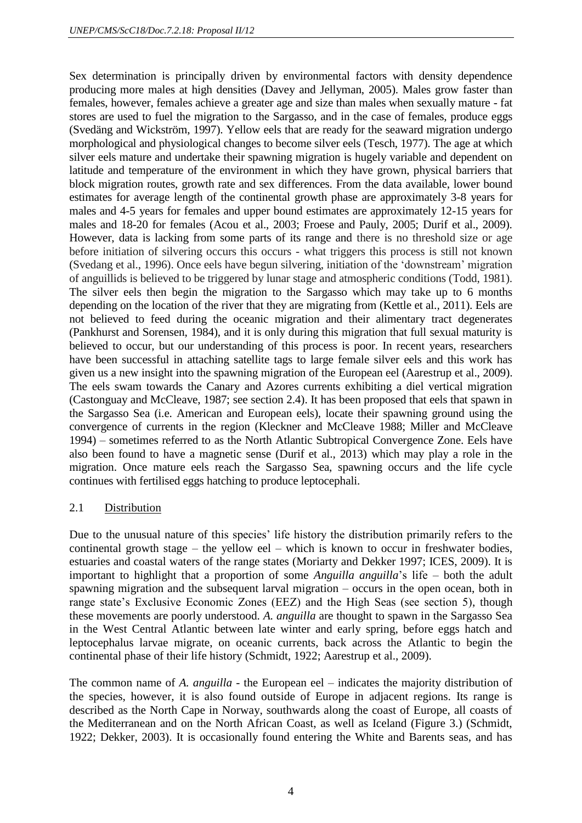Sex determination is principally driven by environmental factors with density dependence producing more males at high densities (Davey and Jellyman, 2005). Males grow faster than females, however, females achieve a greater age and size than males when sexually mature - fat stores are used to fuel the migration to the Sargasso, and in the case of females, produce eggs (Svedäng and Wickström, 1997). Yellow eels that are ready for the seaward migration undergo morphological and physiological changes to become silver eels (Tesch, 1977). The age at which silver eels mature and undertake their spawning migration is hugely variable and dependent on latitude and temperature of the environment in which they have grown, physical barriers that block migration routes, growth rate and sex differences. From the data available, lower bound estimates for average length of the continental growth phase are approximately 3-8 years for males and 4-5 years for females and upper bound estimates are approximately 12-15 years for males and 18-20 for females (Acou et al., 2003; Froese and Pauly, 2005; Durif et al., 2009). However, data is lacking from some parts of its range and there is no threshold size or age before initiation of silvering occurs this occurs - what triggers this process is still not known (Svedang et al., 1996). Once eels have begun silvering, initiation of the 'downstream' migration of anguillids is believed to be triggered by lunar stage and atmospheric conditions (Todd, 1981). The silver eels then begin the migration to the Sargasso which may take up to 6 months depending on the location of the river that they are migrating from (Kettle et al.*,* 2011). Eels are not believed to feed during the oceanic migration and their alimentary tract degenerates (Pankhurst and Sorensen, 1984), and it is only during this migration that full sexual maturity is believed to occur, but our understanding of this process is poor. In recent years, researchers have been successful in attaching satellite tags to large female silver eels and this work has given us a new insight into the spawning migration of the European eel (Aarestrup et al., 2009). The eels swam towards the Canary and Azores currents exhibiting a diel vertical migration (Castonguay and McCleave, 1987; see section 2.4). It has been proposed that eels that spawn in the Sargasso Sea (i.e. American and European eels), locate their spawning ground using the convergence of currents in the region (Kleckner and McCleave 1988; Miller and McCleave 1994) – sometimes referred to as the North Atlantic Subtropical Convergence Zone. Eels have also been found to have a magnetic sense (Durif et al., 2013) which may play a role in the migration. Once mature eels reach the Sargasso Sea, spawning occurs and the life cycle continues with fertilised eggs hatching to produce leptocephali.

## 2.1 Distribution

Due to the unusual nature of this species' life history the distribution primarily refers to the continental growth stage – the yellow eel – which is known to occur in freshwater bodies, estuaries and coastal waters of the range states (Moriarty and Dekker 1997; ICES, 2009). It is important to highlight that a proportion of some *Anguilla anguilla*'s life – both the adult spawning migration and the subsequent larval migration – occurs in the open ocean, both in range state's Exclusive Economic Zones (EEZ) and the High Seas (see section 5), though these movements are poorly understood. *A. anguilla* are thought to spawn in the Sargasso Sea in the West Central Atlantic between late winter and early spring, before eggs hatch and leptocephalus larvae migrate, on oceanic currents, back across the Atlantic to begin the continental phase of their life history (Schmidt, 1922; Aarestrup et al., 2009).

The common name of *A. anguilla* - the European eel – indicates the majority distribution of the species, however, it is also found outside of Europe in adjacent regions. Its range is described as the North Cape in Norway, southwards along the coast of Europe, all coasts of the Mediterranean and on the North African Coast, as well as Iceland (Figure 3.) (Schmidt, 1922; Dekker, 2003). It is occasionally found entering the White and Barents seas, and has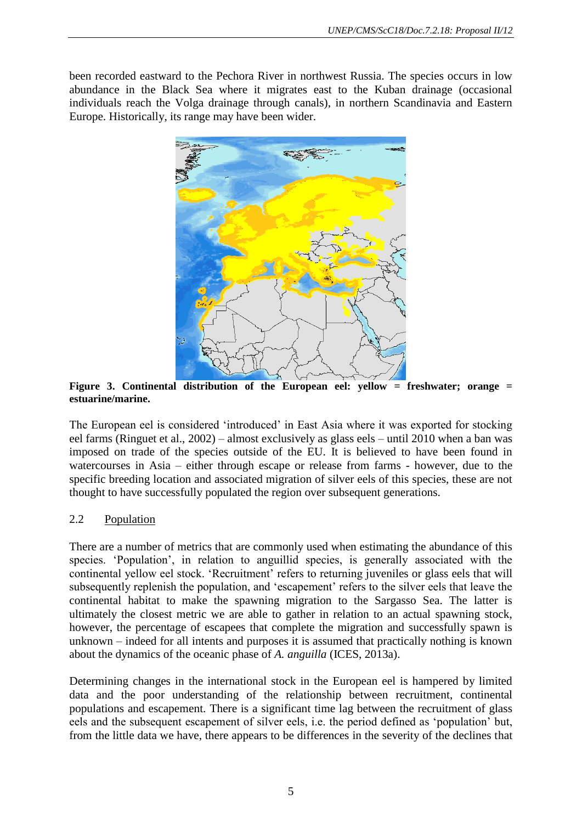been recorded eastward to the Pechora River in northwest Russia. The species occurs in low abundance in the Black Sea where it migrates east to the Kuban drainage (occasional individuals reach the Volga drainage through canals), in northern Scandinavia and Eastern Europe. Historically, its range may have been wider.



**Figure 3. Continental distribution of the European eel: yellow = freshwater; orange = estuarine/marine.**

The European eel is considered 'introduced' in East Asia where it was exported for stocking eel farms (Ringuet et al., 2002) – almost exclusively as glass eels – until 2010 when a ban was imposed on trade of the species outside of the EU. It is believed to have been found in watercourses in Asia – either through escape or release from farms - however, due to the specific breeding location and associated migration of silver eels of this species, these are not thought to have successfully populated the region over subsequent generations.

## 2.2 Population

There are a number of metrics that are commonly used when estimating the abundance of this species. 'Population', in relation to anguillid species, is generally associated with the continental yellow eel stock. 'Recruitment' refers to returning juveniles or glass eels that will subsequently replenish the population, and 'escapement' refers to the silver eels that leave the continental habitat to make the spawning migration to the Sargasso Sea. The latter is ultimately the closest metric we are able to gather in relation to an actual spawning stock, however, the percentage of escapees that complete the migration and successfully spawn is unknown – indeed for all intents and purposes it is assumed that practically nothing is known about the dynamics of the oceanic phase of *A. anguilla* (ICES, 2013a).

Determining changes in the international stock in the European eel is hampered by limited data and the poor understanding of the relationship between recruitment, continental populations and escapement. There is a significant time lag between the recruitment of glass eels and the subsequent escapement of silver eels, i.e. the period defined as 'population' but, from the little data we have, there appears to be differences in the severity of the declines that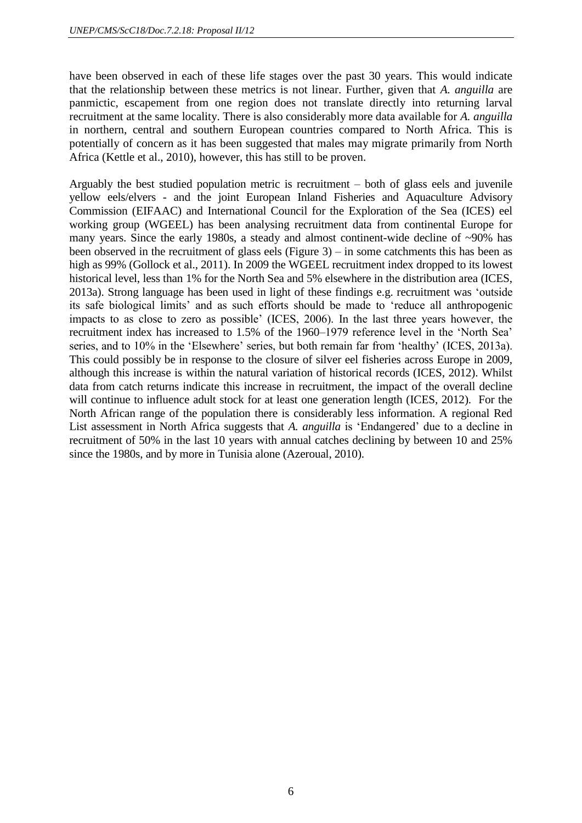have been observed in each of these life stages over the past 30 years. This would indicate that the relationship between these metrics is not linear. Further, given that *A. anguilla* are panmictic, escapement from one region does not translate directly into returning larval recruitment at the same locality. There is also considerably more data available for *A. anguilla* in northern, central and southern European countries compared to North Africa. This is potentially of concern as it has been suggested that males may migrate primarily from North Africa (Kettle et al., 2010), however, this has still to be proven.

Arguably the best studied population metric is recruitment – both of glass eels and juvenile yellow eels/elvers - and the joint European Inland Fisheries and Aquaculture Advisory Commission (EIFAAC) and International Council for the Exploration of the Sea (ICES) eel working group (WGEEL) has been analysing recruitment data from continental Europe for many years. Since the early 1980s, a steady and almost continent-wide decline of ~90% has been observed in the recruitment of glass eels (Figure 3) – in some catchments this has been as high as 99% (Gollock et al., 2011). In 2009 the WGEEL recruitment index dropped to its lowest historical level, less than 1% for the North Sea and 5% elsewhere in the distribution area (ICES, 2013a). Strong language has been used in light of these findings e.g. recruitment was 'outside its safe biological limits' and as such efforts should be made to 'reduce all anthropogenic impacts to as close to zero as possible' (ICES, 2006). In the last three years however, the recruitment index has increased to 1.5% of the 1960–1979 reference level in the 'North Sea' series, and to 10% in the 'Elsewhere' series, but both remain far from 'healthy' (ICES, 2013a). This could possibly be in response to the closure of silver eel fisheries across Europe in 2009, although this increase is within the natural variation of historical records (ICES, 2012). Whilst data from catch returns indicate this increase in recruitment, the impact of the overall decline will continue to influence adult stock for at least one generation length (ICES, 2012). For the North African range of the population there is considerably less information. A regional Red List assessment in North Africa suggests that *A. anguilla* is 'Endangered' due to a decline in recruitment of 50% in the last 10 years with annual catches declining by between 10 and 25% since the 1980s, and by more in Tunisia alone (Azeroual, 2010).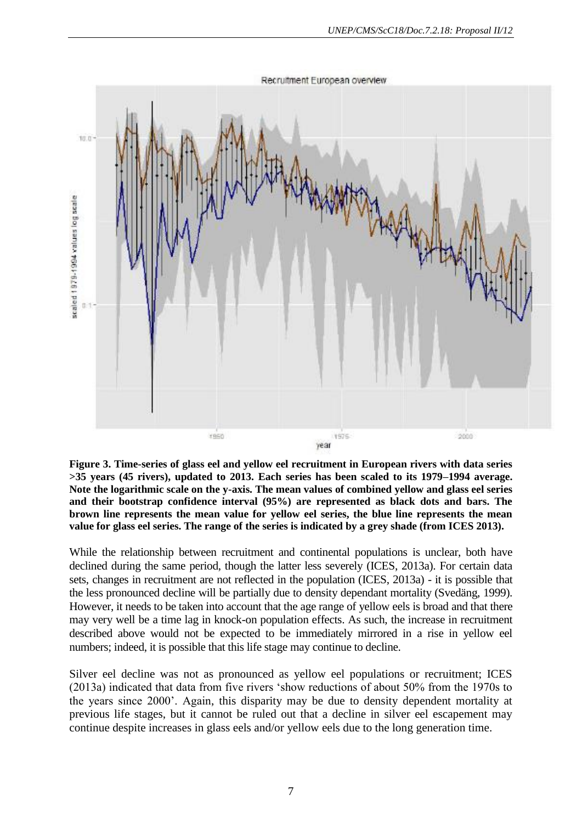

**Figure 3. Time-series of glass eel and yellow eel recruitment in European rivers with data series >35 years (45 rivers), updated to 2013. Each series has been scaled to its 1979–1994 average. Note the logarithmic scale on the y-axis. The mean values of combined yellow and glass eel series and their bootstrap confidence interval (95%) are represented as black dots and bars. The brown line represents the mean value for yellow eel series, the blue line represents the mean value for glass eel series. The range of the series is indicated by a grey shade (from ICES 2013).**

While the relationship between recruitment and continental populations is unclear, both have declined during the same period, though the latter less severely (ICES, 2013a). For certain data sets, changes in recruitment are not reflected in the population (ICES, 2013a) - it is possible that the less pronounced decline will be partially due to density dependant mortality (Svedäng, 1999). However, it needs to be taken into account that the age range of yellow eels is broad and that there may very well be a time lag in knock-on population effects. As such, the increase in recruitment described above would not be expected to be immediately mirrored in a rise in yellow eel numbers; indeed, it is possible that this life stage may continue to decline.

Silver eel decline was not as pronounced as yellow eel populations or recruitment; ICES (2013a) indicated that data from five rivers 'show reductions of about 50% from the 1970s to the years since 2000'. Again, this disparity may be due to density dependent mortality at previous life stages, but it cannot be ruled out that a decline in silver eel escapement may continue despite increases in glass eels and/or yellow eels due to the long generation time.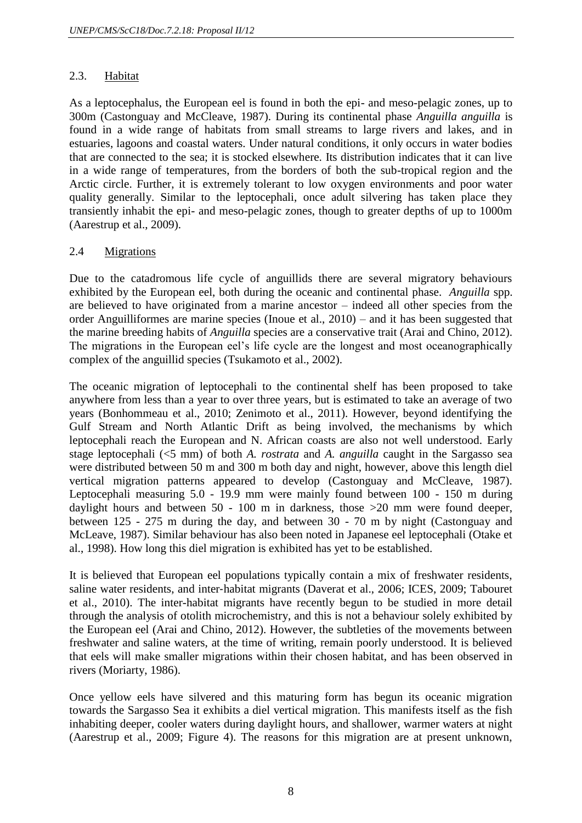## 2.3. Habitat

As a leptocephalus, the European eel is found in both the epi- and meso-pelagic zones, up to 300m (Castonguay and McCleave, 1987). During its continental phase *Anguilla anguilla* is found in a wide range of habitats from small streams to large rivers and lakes, and in estuaries, lagoons and coastal waters. Under natural conditions, it only occurs in water bodies that are connected to the sea; it is stocked elsewhere. Its distribution indicates that it can live in a wide range of temperatures, from the borders of both the sub-tropical region and the Arctic circle. Further, it is extremely tolerant to low oxygen environments and poor water quality generally. Similar to the leptocephali, once adult silvering has taken place they transiently inhabit the epi- and meso-pelagic zones, though to greater depths of up to 1000m (Aarestrup et al., 2009).

## 2.4 Migrations

Due to the catadromous life cycle of anguillids there are several migratory behaviours exhibited by the European eel, both during the oceanic and continental phase. *Anguilla* spp. are believed to have originated from a marine ancestor – indeed all other species from the order Anguilliformes are marine species (Inoue et al., 2010) – and it has been suggested that the marine breeding habits of *Anguilla* species are a conservative trait (Arai and Chino, 2012). The migrations in the European eel's life cycle are the longest and most oceanographically complex of the anguillid species (Tsukamoto et al., 2002).

The oceanic migration of leptocephali to the continental shelf has been proposed to take anywhere from less than a year to over three years, but is estimated to take an average of two years (Bonhommeau et al., 2010; Zenimoto et al., 2011). However, beyond identifying the Gulf Stream and North Atlantic Drift as being involved, the mechanisms by which leptocephali reach the European and N. African coasts are also not well understood. Early stage leptocephali (<5 mm) of both *A. rostrata* and *A. anguilla* caught in the Sargasso sea were distributed between 50 m and 300 m both day and night, however, above this length diel vertical migration patterns appeared to develop (Castonguay and McCleave, 1987). Leptocephali measuring 5.0 - 19.9 mm were mainly found between 100 - 150 m during daylight hours and between 50 - 100 m in darkness, those >20 mm were found deeper, between 125 - 275 m during the day, and between 30 - 70 m by night (Castonguay and McLeave, 1987). Similar behaviour has also been noted in Japanese eel leptocephali (Otake et al., 1998). How long this diel migration is exhibited has yet to be established.

It is believed that European eel populations typically contain a mix of freshwater residents, saline water residents, and inter-habitat migrants (Daverat et al., 2006; ICES, 2009; Tabouret et al., 2010). The inter-habitat migrants have recently begun to be studied in more detail through the analysis of otolith microchemistry, and this is not a behaviour solely exhibited by the European eel (Arai and Chino, 2012). However, the subtleties of the movements between freshwater and saline waters, at the time of writing, remain poorly understood. It is believed that eels will make smaller migrations within their chosen habitat, and has been observed in rivers (Moriarty, 1986).

Once yellow eels have silvered and this maturing form has begun its oceanic migration towards the Sargasso Sea it exhibits a diel vertical migration. This manifests itself as the fish inhabiting deeper, cooler waters during daylight hours, and shallower, warmer waters at night (Aarestrup et al., 2009; Figure 4). The reasons for this migration are at present unknown,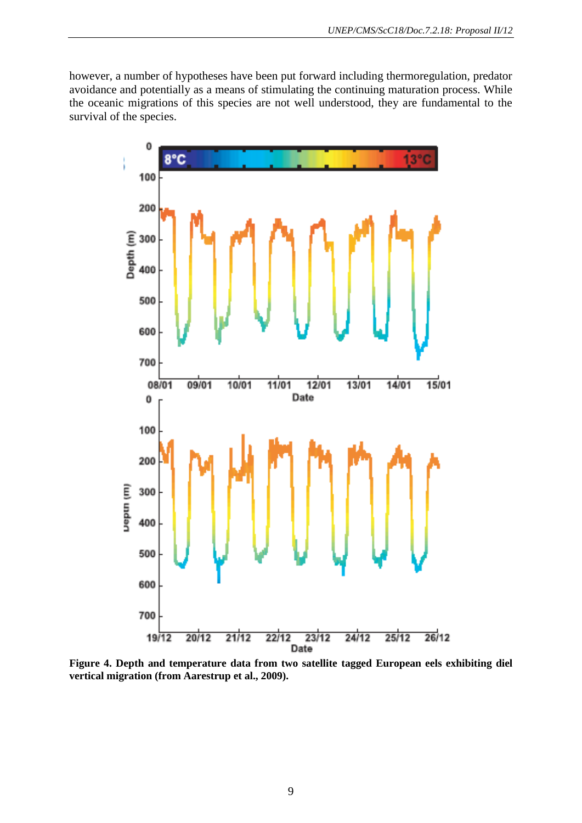however, a number of hypotheses have been put forward including thermoregulation, predator avoidance and potentially as a means of stimulating the continuing maturation process. While the oceanic migrations of this species are not well understood, they are fundamental to the survival of the species.



**Figure 4. Depth and temperature data from two satellite tagged European eels exhibiting diel vertical migration (from Aarestrup et al., 2009).**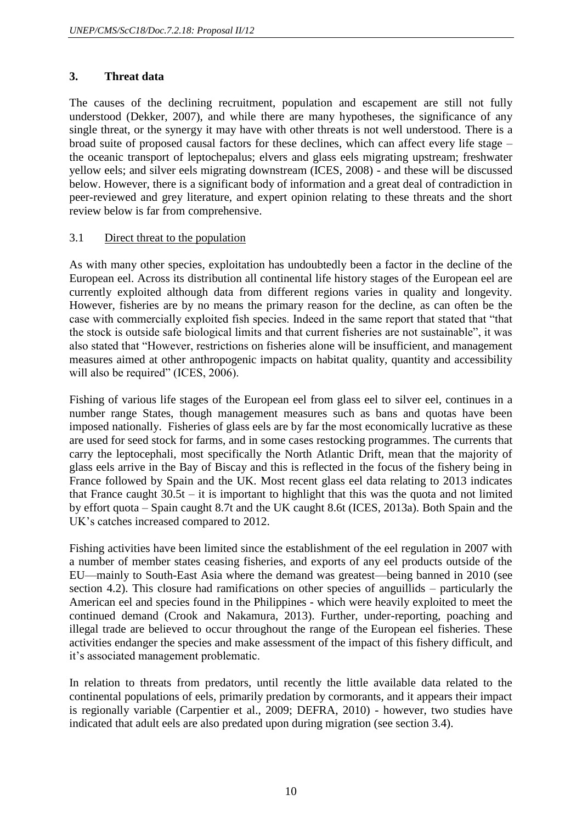## **3. Threat data**

The causes of the declining recruitment, population and escapement are still not fully understood (Dekker, 2007), and while there are many hypotheses, the significance of any single threat, or the synergy it may have with other threats is not well understood. There is a broad suite of proposed causal factors for these declines, which can affect every life stage – the oceanic transport of leptochepalus; elvers and glass eels migrating upstream; freshwater yellow eels; and silver eels migrating downstream (ICES, 2008) - and these will be discussed below. However, there is a significant body of information and a great deal of contradiction in peer-reviewed and grey literature, and expert opinion relating to these threats and the short review below is far from comprehensive.

## 3.1 Direct threat to the population

As with many other species, exploitation has undoubtedly been a factor in the decline of the European eel. Across its distribution all continental life history stages of the European eel are currently exploited although data from different regions varies in quality and longevity. However, fisheries are by no means the primary reason for the decline, as can often be the case with commercially exploited fish species. Indeed in the same report that stated that "that the stock is outside safe biological limits and that current fisheries are not sustainable", it was also stated that "However, restrictions on fisheries alone will be insufficient, and management measures aimed at other anthropogenic impacts on habitat quality, quantity and accessibility will also be required" (ICES, 2006).

Fishing of various life stages of the European eel from glass eel to silver eel, continues in a number range States, though management measures such as bans and quotas have been imposed nationally. Fisheries of glass eels are by far the most economically lucrative as these are used for seed stock for farms, and in some cases restocking programmes. The currents that carry the leptocephali, most specifically the North Atlantic Drift, mean that the majority of glass eels arrive in the Bay of Biscay and this is reflected in the focus of the fishery being in France followed by Spain and the UK. Most recent glass eel data relating to 2013 indicates that France caught  $30.5t - it$  is important to highlight that this was the quota and not limited by effort quota – Spain caught 8.7t and the UK caught 8.6t (ICES, 2013a). Both Spain and the UK's catches increased compared to 2012.

Fishing activities have been limited since the establishment of the eel regulation in 2007 with a number of member states ceasing fisheries, and exports of any eel products outside of the EU—mainly to South-East Asia where the demand was greatest—being banned in 2010 (see section 4.2). This closure had ramifications on other species of anguillids – particularly the American eel and species found in the Philippines - which were heavily exploited to meet the continued demand (Crook and Nakamura, 2013). Further, under-reporting, poaching and illegal trade are believed to occur throughout the range of the European eel fisheries. These activities endanger the species and make assessment of the impact of this fishery difficult, and it's associated management problematic.

In relation to threats from predators, until recently the little available data related to the continental populations of eels, primarily predation by cormorants, and it appears their impact is regionally variable (Carpentier et al., 2009; DEFRA, 2010) - however, two studies have indicated that adult eels are also predated upon during migration (see section 3.4).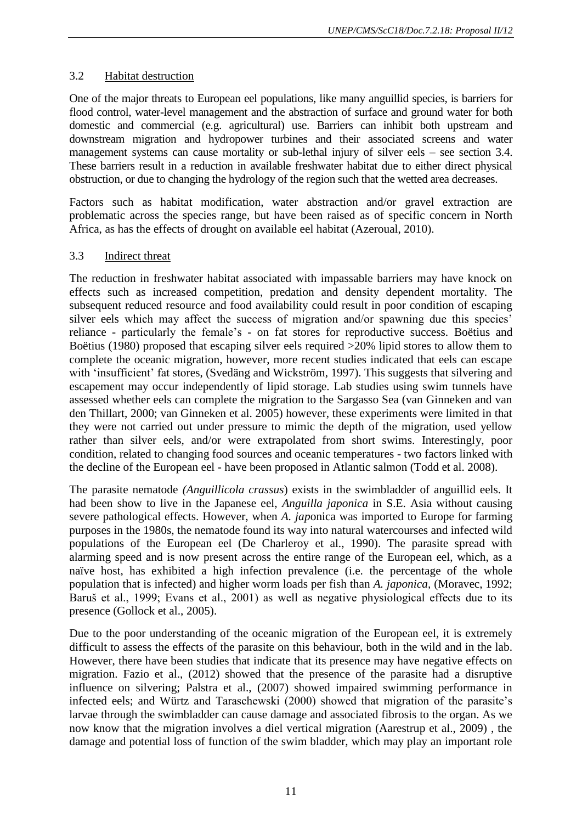# 3.2 Habitat destruction

One of the major threats to European eel populations, like many anguillid species, is barriers for flood control, water-level management and the abstraction of surface and ground water for both domestic and commercial (e.g. agricultural) use. Barriers can inhibit both upstream and downstream migration and hydropower turbines and their associated screens and water management systems can cause mortality or sub-lethal injury of silver eels – see section 3.4. These barriers result in a reduction in available freshwater habitat due to either direct physical obstruction, or due to changing the hydrology of the region such that the wetted area decreases.

Factors such as habitat modification, water abstraction and/or gravel extraction are problematic across the species range, but have been raised as of specific concern in North Africa, as has the effects of drought on available eel habitat (Azeroual, 2010).

## 3.3 Indirect threat

The reduction in freshwater habitat associated with impassable barriers may have knock on effects such as increased competition, predation and density dependent mortality. The subsequent reduced resource and food availability could result in poor condition of escaping silver eels which may affect the success of migration and/or spawning due this species' reliance - particularly the female's - on fat stores for reproductive success. Boëtius and Boëtius (1980) proposed that escaping silver eels required >20% lipid stores to allow them to complete the oceanic migration, however, more recent studies indicated that eels can escape with 'insufficient' fat stores, (Svedäng and Wickström, 1997). This suggests that silvering and escapement may occur independently of lipid storage. Lab studies using swim tunnels have assessed whether eels can complete the migration to the Sargasso Sea (van Ginneken and van den Thillart, 2000; van Ginneken et al. 2005) however, these experiments were limited in that they were not carried out under pressure to mimic the depth of the migration, used yellow rather than silver eels, and/or were extrapolated from short swims. Interestingly, poor condition, related to changing food sources and oceanic temperatures - two factors linked with the decline of the European eel - have been proposed in Atlantic salmon (Todd et al. 2008).

The parasite nematode *(Anguillicola crassus*) exists in the swimbladder of anguillid eels. It had been show to live in the Japanese eel, *Anguilla japonica* in S.E. Asia without causing severe pathological effects. However, when *A. jap*onica was imported to Europe for farming purposes in the 1980s, the nematode found its way into natural watercourses and infected wild populations of the European eel (De Charleroy et al., 1990). The parasite spread with alarming speed and is now present across the entire range of the European eel, which, as a naïve host, has exhibited a high infection prevalence (i.e. the percentage of the whole population that is infected) and higher worm loads per fish than *A. japonica,* (Moravec, 1992; Baruš et al., 1999; Evans et al., 2001) as well as negative physiological effects due to its presence (Gollock et al., 2005).

Due to the poor understanding of the oceanic migration of the European eel, it is extremely difficult to assess the effects of the parasite on this behaviour, both in the wild and in the lab. However, there have been studies that indicate that its presence may have negative effects on migration. Fazio et al., (2012) showed that the presence of the parasite had a disruptive influence on silvering; Palstra et al., (2007) showed impaired swimming performance in infected eels; and Würtz and Taraschewski (2000) showed that migration of the parasite's larvae through the swimbladder can cause damage and associated fibrosis to the organ. As we now know that the migration involves a diel vertical migration (Aarestrup et al., 2009) , the damage and potential loss of function of the swim bladder, which may play an important role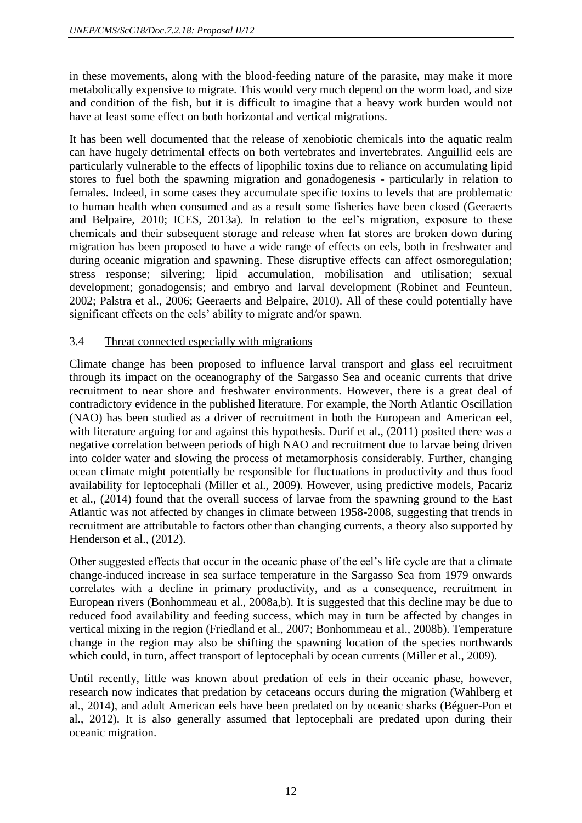in these movements, along with the blood-feeding nature of the parasite, may make it more metabolically expensive to migrate. This would very much depend on the worm load, and size and condition of the fish, but it is difficult to imagine that a heavy work burden would not have at least some effect on both horizontal and vertical migrations.

It has been well documented that the release of xenobiotic chemicals into the aquatic realm can have hugely detrimental effects on both vertebrates and invertebrates. Anguillid eels are particularly vulnerable to the effects of lipophilic toxins due to reliance on accumulating lipid stores to fuel both the spawning migration and gonadogenesis - particularly in relation to females. Indeed, in some cases they accumulate specific toxins to levels that are problematic to human health when consumed and as a result some fisheries have been closed (Geeraerts and Belpaire, 2010; ICES, 2013a). In relation to the eel's migration, exposure to these chemicals and their subsequent storage and release when fat stores are broken down during migration has been proposed to have a wide range of effects on eels, both in freshwater and during oceanic migration and spawning. These disruptive effects can affect osmoregulation; stress response; silvering; lipid accumulation, mobilisation and utilisation; sexual development; gonadogensis; and embryo and larval development (Robinet and Feunteun, 2002; Palstra et al., 2006; Geeraerts and Belpaire, 2010). All of these could potentially have significant effects on the eels' ability to migrate and/or spawn.

## 3.4 Threat connected especially with migrations

Climate change has been proposed to influence larval transport and glass eel recruitment through its impact on the oceanography of the Sargasso Sea and oceanic currents that drive recruitment to near shore and freshwater environments. However, there is a great deal of contradictory evidence in the published literature. For example, the North Atlantic Oscillation (NAO) has been studied as a driver of recruitment in both the European and American eel, with literature arguing for and against this hypothesis. Durif et al., (2011) posited there was a negative correlation between periods of high NAO and recruitment due to larvae being driven into colder water and slowing the process of metamorphosis considerably. Further, changing ocean climate might potentially be responsible for fluctuations in productivity and thus food availability for leptocephali (Miller et al., 2009). However, using predictive models, Pacariz et al., (2014) found that the overall success of larvae from the spawning ground to the East Atlantic was not affected by changes in climate between 1958-2008, suggesting that trends in recruitment are attributable to factors other than changing currents, a theory also supported by Henderson et al., (2012).

Other suggested effects that occur in the oceanic phase of the eel's life cycle are that a climate change-induced increase in sea surface temperature in the Sargasso Sea from 1979 onwards correlates with a decline in primary productivity, and as a consequence, recruitment in European rivers (Bonhommeau et al., 2008a,b). It is suggested that this decline may be due to reduced food availability and feeding success, which may in turn be affected by changes in vertical mixing in the region (Friedland et al., 2007; Bonhommeau et al., 2008b). Temperature change in the region may also be shifting the spawning location of the species northwards which could, in turn, affect transport of leptocephali by ocean currents (Miller et al., 2009).

Until recently, little was known about predation of eels in their oceanic phase, however, research now indicates that predation by cetaceans occurs during the migration (Wahlberg et al., 2014), and adult American eels have been predated on by oceanic sharks (Béguer-Pon et al., 2012). It is also generally assumed that leptocephali are predated upon during their oceanic migration.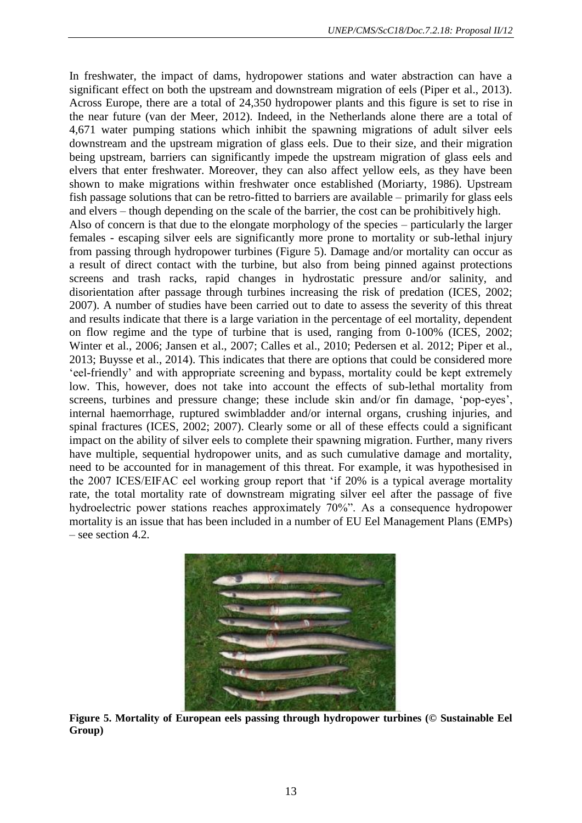In freshwater, the impact of dams, hydropower stations and water abstraction can have a significant effect on both the upstream and downstream migration of eels (Piper et al., 2013). Across Europe, there are a total of 24,350 hydropower plants and this figure is set to rise in the near future (van der Meer, 2012). Indeed, in the Netherlands alone there are a total of 4,671 water pumping stations which inhibit the spawning migrations of adult silver eels downstream and the upstream migration of glass eels. Due to their size, and their migration being upstream, barriers can significantly impede the upstream migration of glass eels and elvers that enter freshwater. Moreover, they can also affect yellow eels, as they have been shown to make migrations within freshwater once established (Moriarty, 1986). Upstream fish passage solutions that can be retro-fitted to barriers are available – primarily for glass eels and elvers – though depending on the scale of the barrier, the cost can be prohibitively high. Also of concern is that due to the elongate morphology of the species – particularly the larger females - escaping silver eels are significantly more prone to mortality or sub-lethal injury from passing through hydropower turbines (Figure 5). Damage and/or mortality can occur as a result of direct contact with the turbine, but also from being pinned against protections screens and trash racks, rapid changes in hydrostatic pressure and/or salinity, and disorientation after passage through turbines increasing the risk of predation (ICES, 2002; 2007). A number of studies have been carried out to date to assess the severity of this threat and results indicate that there is a large variation in the percentage of eel mortality, dependent on flow regime and the type of turbine that is used, ranging from 0-100% (ICES, 2002; Winter et al., 2006; Jansen et al., 2007; Calles et al., 2010; Pedersen et al. 2012; Piper et al., 2013; Buysse et al., 2014). This indicates that there are options that could be considered more 'eel-friendly' and with appropriate screening and bypass, mortality could be kept extremely low. This, however, does not take into account the effects of sub-lethal mortality from screens, turbines and pressure change; these include skin and/or fin damage, 'pop-eyes', internal haemorrhage, ruptured swimbladder and/or internal organs, crushing injuries, and spinal fractures (ICES, 2002; 2007). Clearly some or all of these effects could a significant impact on the ability of silver eels to complete their spawning migration. Further, many rivers have multiple, sequential hydropower units, and as such cumulative damage and mortality, need to be accounted for in management of this threat. For example, it was hypothesised in the 2007 ICES/EIFAC eel working group report that 'if 20% is a typical average mortality rate, the total mortality rate of downstream migrating silver eel after the passage of five hydroelectric power stations reaches approximately 70%". As a consequence hydropower mortality is an issue that has been included in a number of EU Eel Management Plans (EMPs) – see section 4.2.



**Figure 5. Mortality of European eels passing through hydropower turbines (© Sustainable Eel Group)**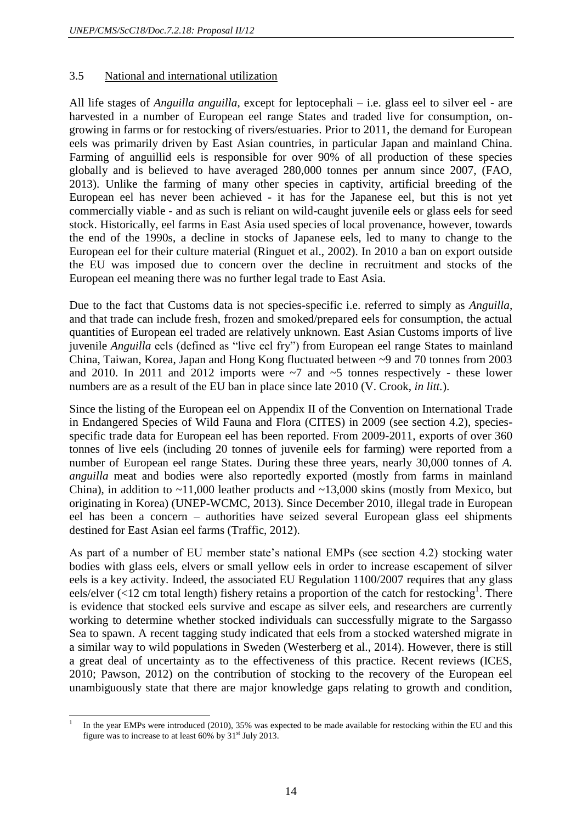## 3.5 National and international utilization

All life stages of *Anguilla anguilla*, except for leptocephali – i.e. glass eel to silver eel - are harvested in a number of European eel range States and traded live for consumption, ongrowing in farms or for restocking of rivers/estuaries. Prior to 2011, the demand for European eels was primarily driven by East Asian countries, in particular Japan and mainland China. Farming of anguillid eels is responsible for over 90% of all production of these species globally and is believed to have averaged 280,000 tonnes per annum since 2007, (FAO, 2013). Unlike the farming of many other species in captivity, artificial breeding of the European eel has never been achieved - it has for the Japanese eel, but this is not yet commercially viable - and as such is reliant on wild-caught juvenile eels or glass eels for seed stock. Historically, eel farms in East Asia used species of local provenance, however, towards the end of the 1990s, a decline in stocks of Japanese eels, led to many to change to the European eel for their culture material (Ringuet et al., 2002). In 2010 a ban on export outside the EU was imposed due to concern over the decline in recruitment and stocks of the European eel meaning there was no further legal trade to East Asia.

Due to the fact that Customs data is not species-specific i.e. referred to simply as *Anguilla*, and that trade can include fresh, frozen and smoked/prepared eels for consumption, the actual quantities of European eel traded are relatively unknown. East Asian Customs imports of live juvenile *Anguilla* eels (defined as "live eel fry") from European eel range States to mainland China, Taiwan, Korea, Japan and Hong Kong fluctuated between ~9 and 70 tonnes from 2003 and 2010. In 2011 and 2012 imports were  $\sim$ 7 and  $\sim$ 5 tonnes respectively - these lower numbers are as a result of the EU ban in place since late 2010 (V. Crook, *in litt.*).

Since the listing of the European eel on Appendix II of the Convention on International Trade in Endangered Species of Wild Fauna and Flora (CITES) in 2009 (see section 4.2), speciesspecific trade data for European eel has been reported. From 2009-2011, exports of over 360 tonnes of live eels (including 20 tonnes of juvenile eels for farming) were reported from a number of European eel range States. During these three years, nearly 30,000 tonnes of *A. anguilla* meat and bodies were also reportedly exported (mostly from farms in mainland China), in addition to  $\sim$ 11,000 leather products and  $\sim$ 13,000 skins (mostly from Mexico, but originating in Korea) (UNEP-WCMC, 2013). Since December 2010, illegal trade in European eel has been a concern – authorities have seized several European glass eel shipments destined for East Asian eel farms (Traffic, 2012).

As part of a number of EU member state's national EMPs (see section 4.2) stocking water bodies with glass eels, elvers or small yellow eels in order to increase escapement of silver eels is a key activity. Indeed, the associated EU Regulation 1100/2007 requires that any glass eels/elver (<12 cm total length) fishery retains a proportion of the catch for restocking<sup>1</sup>. There is evidence that stocked eels survive and escape as silver eels, and researchers are currently working to determine whether stocked individuals can successfully migrate to the Sargasso Sea to spawn. A recent tagging study indicated that eels from a stocked watershed migrate in a similar way to wild populations in Sweden (Westerberg et al., 2014). However, there is still a great deal of uncertainty as to the effectiveness of this practice. Recent reviews (ICES, 2010; Pawson, 2012) on the contribution of stocking to the recovery of the European eel unambiguously state that there are major knowledge gaps relating to growth and condition,

l 1 In the year EMPs were introduced (2010), 35% was expected to be made available for restocking within the EU and this figure was to increase to at least  $60\%$  by  $31<sup>st</sup>$  July 2013.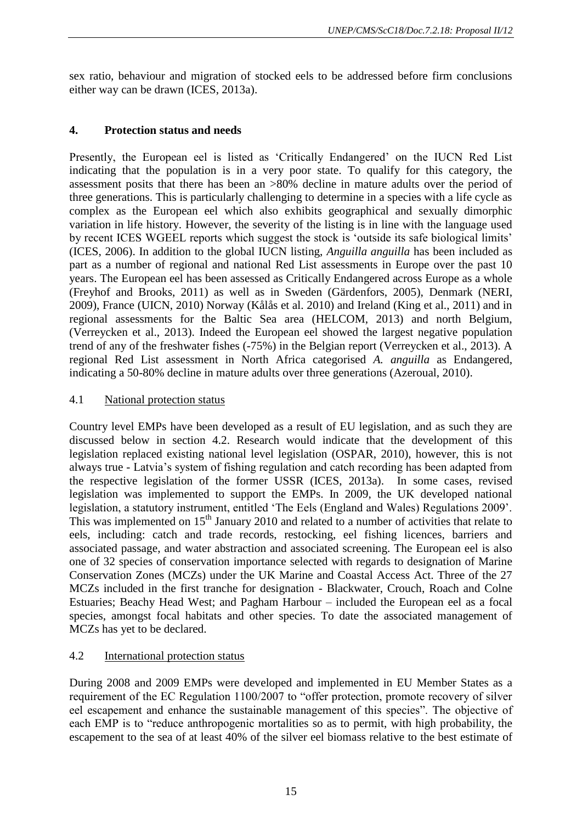sex ratio, behaviour and migration of stocked eels to be addressed before firm conclusions either way can be drawn (ICES, 2013a).

## **4. Protection status and needs**

Presently, the European eel is listed as 'Critically Endangered' on the IUCN Red List indicating that the population is in a very poor state. To qualify for this category, the assessment posits that there has been an >80% decline in mature adults over the period of three generations. This is particularly challenging to determine in a species with a life cycle as complex as the European eel which also exhibits geographical and sexually dimorphic variation in life history. However, the severity of the listing is in line with the language used by recent ICES WGEEL reports which suggest the stock is 'outside its safe biological limits' (ICES, 2006). In addition to the global IUCN listing, *Anguilla anguilla* has been included as part as a number of regional and national Red List assessments in Europe over the past 10 years. The European eel has been assessed as Critically Endangered across Europe as a whole (Freyhof and Brooks, 2011) as well as in Sweden (Gärdenfors, 2005), Denmark (NERI, 2009), France (UICN, 2010) Norway (Kålås et al. 2010) and Ireland (King et al., 2011) and in regional assessments for the Baltic Sea area (HELCOM, 2013) and north Belgium, (Verreycken et al., 2013). Indeed the European eel showed the largest negative population trend of any of the freshwater fishes (-75%) in the Belgian report (Verreycken et al., 2013). A regional Red List assessment in North Africa categorised *A. anguilla* as Endangered, indicating a 50-80% decline in mature adults over three generations (Azeroual, 2010).

## 4.1 National protection status

Country level EMPs have been developed as a result of EU legislation, and as such they are discussed below in section 4.2. Research would indicate that the development of this legislation replaced existing national level legislation (OSPAR, 2010), however, this is not always true - Latvia's system of fishing regulation and catch recording has been adapted from the respective legislation of the former USSR (ICES, 2013a). In some cases, revised legislation was implemented to support the EMPs. In 2009, the UK developed national legislation, a statutory instrument, entitled 'The Eels (England and Wales) Regulations 2009'. This was implemented on  $15<sup>th</sup>$  January 2010 and related to a number of activities that relate to eels, including: catch and trade records, restocking, eel fishing licences, barriers and associated passage, and water abstraction and associated screening. The European eel is also one of 32 species of conservation importance selected with regards to designation of Marine Conservation Zones (MCZs) under the UK Marine and Coastal Access Act. Three of the 27 MCZs included in the first tranche for designation - Blackwater, Crouch, Roach and Colne Estuaries; Beachy Head West; and Pagham Harbour – included the European eel as a focal species, amongst focal habitats and other species. To date the associated management of MCZs has yet to be declared.

## 4.2 International protection status

During 2008 and 2009 EMPs were developed and implemented in EU Member States as a requirement of the EC Regulation 1100/2007 to "offer protection, promote recovery of silver eel escapement and enhance the sustainable management of this species". The objective of each EMP is to "reduce anthropogenic mortalities so as to permit, with high probability, the escapement to the sea of at least 40% of the silver eel biomass relative to the best estimate of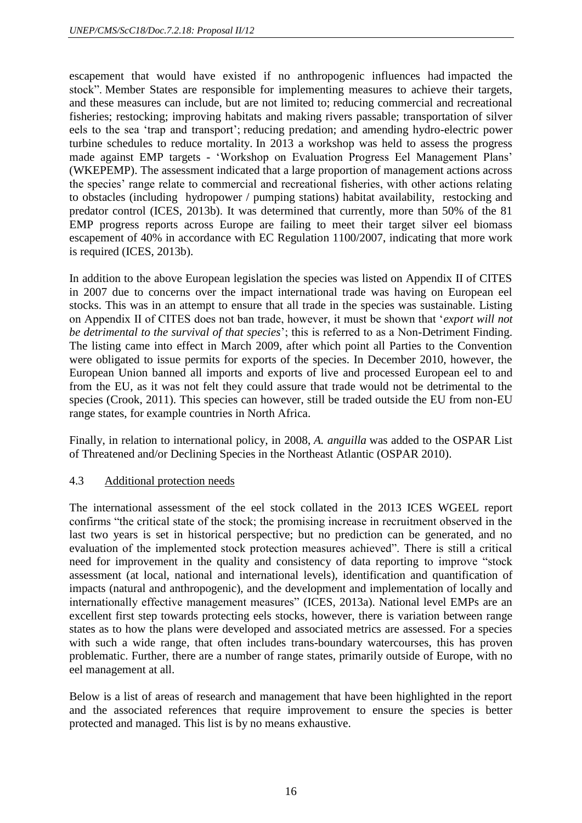escapement that would have existed if no anthropogenic influences had impacted the stock". Member States are responsible for implementing measures to achieve their targets, and these measures can include, but are not limited to; reducing commercial and recreational fisheries; restocking; improving habitats and making rivers passable; transportation of silver eels to the sea 'trap and transport'; reducing predation; and amending hydro-electric power turbine schedules to reduce mortality. In 2013 a workshop was held to assess the progress made against EMP targets - 'Workshop on Evaluation Progress Eel Management Plans' (WKEPEMP). The assessment indicated that a large proportion of management actions across the species' range relate to commercial and recreational fisheries, with other actions relating to obstacles (including hydropower / pumping stations) habitat availability, restocking and predator control (ICES, 2013b). It was determined that currently, more than 50% of the 81 EMP progress reports across Europe are failing to meet their target silver eel biomass escapement of 40% in accordance with EC Regulation 1100/2007, indicating that more work is required (ICES, 2013b).

In addition to the above European legislation the species was listed on Appendix II of CITES in 2007 due to concerns over the impact international trade was having on European eel stocks. This was in an attempt to ensure that all trade in the species was sustainable. Listing on Appendix II of CITES does not ban trade, however, it must be shown that '*export will not be detrimental to the survival of that species*'; this is referred to as a Non-Detriment Finding. The listing came into effect in March 2009, after which point all Parties to the Convention were obligated to issue permits for exports of the species. In December 2010, however, the European Union banned all imports and exports of live and processed European eel to and from the EU, as it was not felt they could assure that trade would not be detrimental to the species (Crook, 2011). This species can however, still be traded outside the EU from non-EU range states, for example countries in North Africa.

Finally, in relation to international policy, in 2008, *A. anguilla* was added to the OSPAR List of Threatened and/or Declining Species in the Northeast Atlantic (OSPAR 2010).

#### 4.3 Additional protection needs

The international assessment of the eel stock collated in the 2013 ICES WGEEL report confirms "the critical state of the stock; the promising increase in recruitment observed in the last two years is set in historical perspective; but no prediction can be generated, and no evaluation of the implemented stock protection measures achieved". There is still a critical need for improvement in the quality and consistency of data reporting to improve "stock assessment (at local, national and international levels), identification and quantification of impacts (natural and anthropogenic), and the development and implementation of locally and internationally effective management measures" (ICES, 2013a). National level EMPs are an excellent first step towards protecting eels stocks, however, there is variation between range states as to how the plans were developed and associated metrics are assessed. For a species with such a wide range, that often includes trans-boundary watercourses, this has proven problematic. Further, there are a number of range states, primarily outside of Europe, with no eel management at all.

Below is a list of areas of research and management that have been highlighted in the report and the associated references that require improvement to ensure the species is better protected and managed. This list is by no means exhaustive.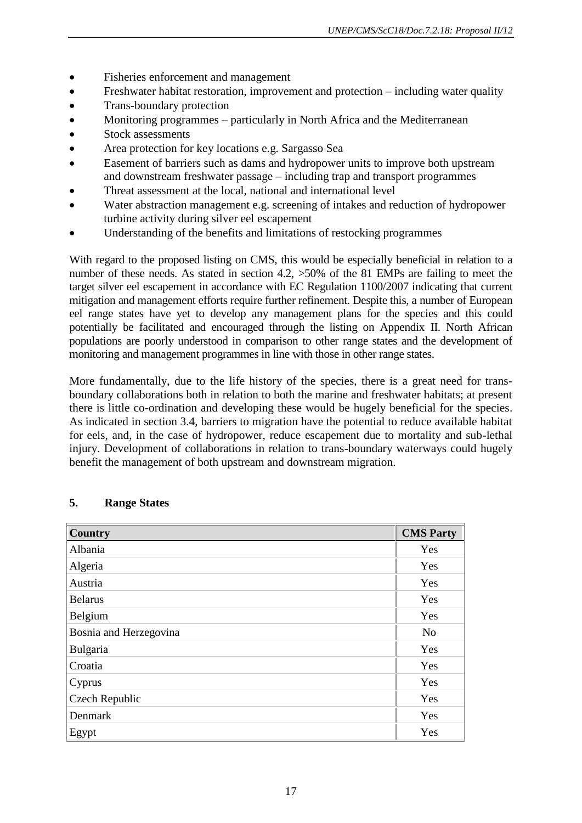- Fisheries enforcement and management
- Freshwater habitat restoration, improvement and protection including water quality
- Trans-boundary protection
- Monitoring programmes particularly in North Africa and the Mediterranean
- Stock assessments
- Area protection for key locations e.g. Sargasso Sea
- Easement of barriers such as dams and hydropower units to improve both upstream and downstream freshwater passage – including trap and transport programmes
- Threat assessment at the local, national and international level
- Water abstraction management e.g. screening of intakes and reduction of hydropower turbine activity during silver eel escapement
- Understanding of the benefits and limitations of restocking programmes

With regard to the proposed listing on CMS, this would be especially beneficial in relation to a number of these needs. As stated in section 4.2,  $>50\%$  of the 81 EMPs are failing to meet the target silver eel escapement in accordance with EC Regulation 1100/2007 indicating that current mitigation and management efforts require further refinement. Despite this, a number of European eel range states have yet to develop any management plans for the species and this could potentially be facilitated and encouraged through the listing on Appendix II. North African populations are poorly understood in comparison to other range states and the development of monitoring and management programmes in line with those in other range states.

More fundamentally, due to the life history of the species, there is a great need for transboundary collaborations both in relation to both the marine and freshwater habitats; at present there is little co-ordination and developing these would be hugely beneficial for the species. As indicated in section 3.4, barriers to migration have the potential to reduce available habitat for eels, and, in the case of hydropower, reduce escapement due to mortality and sub-lethal injury. Development of collaborations in relation to trans-boundary waterways could hugely benefit the management of both upstream and downstream migration.

| <b>Country</b>         | <b>CMS Party</b> |
|------------------------|------------------|
| Albania                | Yes              |
| Algeria                | Yes              |
| Austria                | Yes              |
| <b>Belarus</b>         | Yes              |
| Belgium                | Yes              |
| Bosnia and Herzegovina | N <sub>o</sub>   |
| Bulgaria               | Yes              |
| Croatia                | Yes              |
| Cyprus                 | Yes              |
| Czech Republic         | Yes              |
| Denmark                | Yes              |
| Egypt                  | Yes              |

## **5. Range States**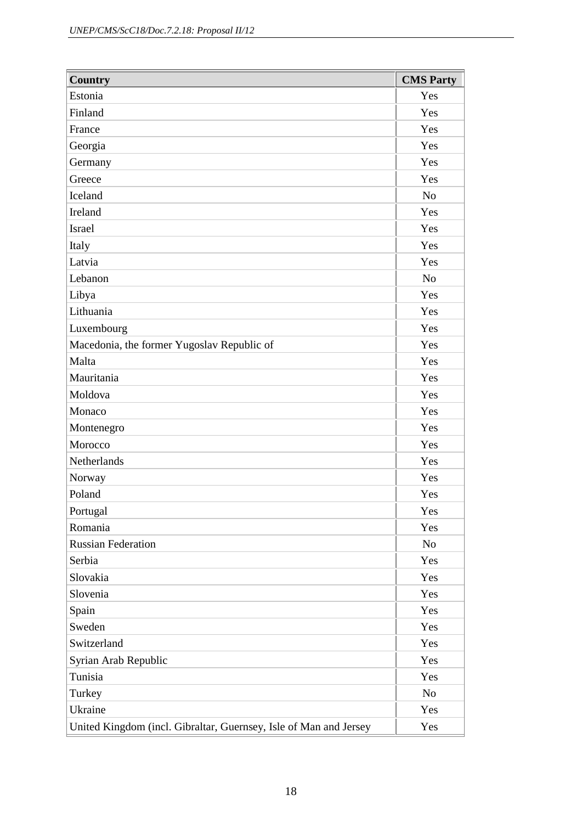| <b>Country</b>                                                    | <b>CMS Party</b> |
|-------------------------------------------------------------------|------------------|
| Estonia                                                           | Yes              |
| Finland                                                           | Yes              |
| France                                                            | Yes              |
| Georgia                                                           | Yes              |
| Germany                                                           | Yes              |
| Greece                                                            | Yes              |
| Iceland                                                           | N <sub>o</sub>   |
| Ireland                                                           | Yes              |
| <b>Israel</b>                                                     | Yes              |
| Italy                                                             | Yes              |
| Latvia                                                            | Yes              |
| Lebanon                                                           | N <sub>o</sub>   |
| Libya                                                             | Yes              |
| Lithuania                                                         | Yes              |
| Luxembourg                                                        | Yes              |
| Macedonia, the former Yugoslav Republic of                        | Yes              |
| Malta                                                             | Yes              |
| Mauritania                                                        | Yes              |
| Moldova                                                           | Yes              |
| Monaco                                                            | Yes              |
| Montenegro                                                        | Yes              |
| Morocco                                                           | Yes              |
| Netherlands                                                       | Yes              |
| Norway                                                            | Yes              |
| Poland                                                            | Yes              |
| Portugal                                                          | Yes              |
| Romania                                                           | Yes              |
| <b>Russian Federation</b>                                         | N <sub>o</sub>   |
| Serbia                                                            | Yes              |
| Slovakia                                                          | Yes              |
| Slovenia                                                          | Yes              |
| Spain                                                             | Yes              |
| Sweden                                                            | Yes              |
| Switzerland                                                       | Yes              |
| Syrian Arab Republic                                              | Yes              |
| Tunisia                                                           | Yes              |
| Turkey                                                            | N <sub>o</sub>   |
| Ukraine                                                           | Yes              |
| United Kingdom (incl. Gibraltar, Guernsey, Isle of Man and Jersey | Yes              |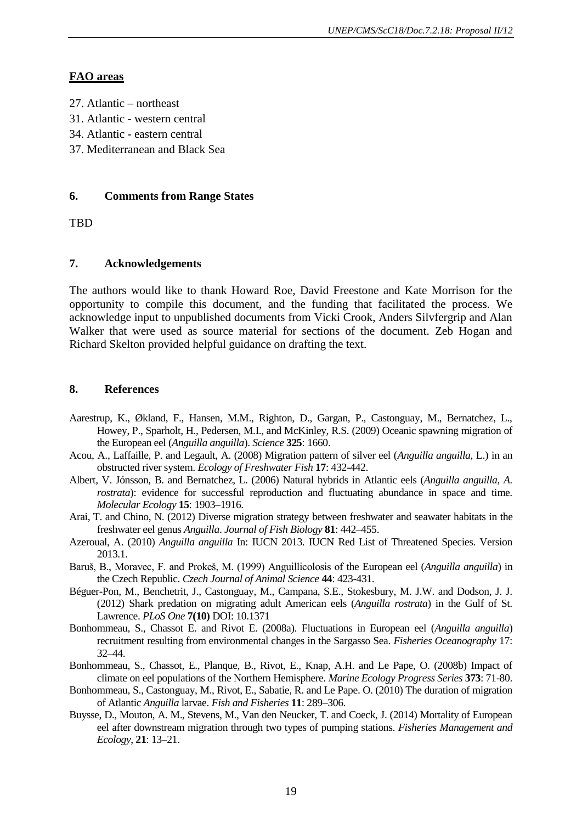## **FAO areas**

- 27. Atlantic northeast
- 31. Atlantic western central
- 34. Atlantic eastern central
- 37. Mediterranean and Black Sea

#### **6. Comments from Range States**

TBD

## **7. Acknowledgements**

The authors would like to thank Howard Roe, David Freestone and Kate Morrison for the opportunity to compile this document, and the funding that facilitated the process. We acknowledge input to unpublished documents from Vicki Crook, Anders Silvfergrip and Alan Walker that were used as source material for sections of the document. Zeb Hogan and Richard Skelton provided helpful guidance on drafting the text.

#### **8. References**

- Aarestrup, K., Økland, F., Hansen, M.M., Righton, D., Gargan, P., Castonguay, M., Bernatchez, L., Howey, P., Sparholt, H., Pedersen, M.I., and McKinley, R.S. (2009) Oceanic spawning migration of the European eel (*Anguilla anguilla*). *Science* **325**: 1660.
- Acou, A., Laffaille, P. and Legault, A. (2008) Migration pattern of silver eel (*Anguilla anguilla*, L.) in an obstructed river system. *Ecology of Freshwater Fish* **17**: 432-442.
- Albert, V. Jónsson, B. and Bernatchez, L. (2006) Natural hybrids in Atlantic eels (*Anguilla anguilla*, *A. rostrata*): evidence for successful reproduction and fluctuating abundance in space and time. *Molecular Ecology* **15**: 1903–1916.
- Arai, T. and Chino, N. (2012) Diverse migration strategy between freshwater and seawater habitats in the freshwater eel genus *Anguilla*. *Journal of Fish Biology* **81**: 442–455.
- Azeroual, A. (2010) *Anguilla anguilla* In: IUCN 2013. IUCN Red List of Threatened Species. Version 2013.1.
- Baruš, B., Moravec, F. and Prokeš, M. (1999) Anguillicolosis of the European eel (*Anguilla anguilla*) in the Czech Republic. *Czech Journal of Animal Science* **44**: 423-431.
- Béguer-Pon, M., Benchetrit, J., Castonguay, M., Campana, S.E., Stokesbury, M. J.W. and Dodson, J. J. (2012) Shark predation on migrating adult American eels (*Anguilla rostrata*) in the Gulf of St. Lawrence. *PLoS One* **7(10)** DOI: 10.1371
- Bonhommeau, S., Chassot E. and Rivot E. (2008a). Fluctuations in European eel (*Anguilla anguilla*) recruitment resulting from environmental changes in the Sargasso Sea. *Fisheries Oceanography* 17: 32–44.
- Bonhommeau, S., Chassot, E., Planque, B., Rivot, E., Knap, A.H. and Le Pape, O. (2008b) Impact of climate on eel populations of the Northern Hemisphere. *Marine Ecology Progress Series* **373**: 71-80.
- Bonhommeau, S., Castonguay, M., Rivot, E., Sabatie, R. and Le Pape. O. (2010) The duration of migration of Atlantic *Anguilla* larvae. *Fish and Fisheries* **11**: 289–306.
- Buysse, D., Mouton, A. M., Stevens, M., Van den Neucker, T. and Coeck, J. (2014) Mortality of European eel after downstream migration through two types of pumping stations. *Fisheries Management and Ecology*, **21**: 13–21.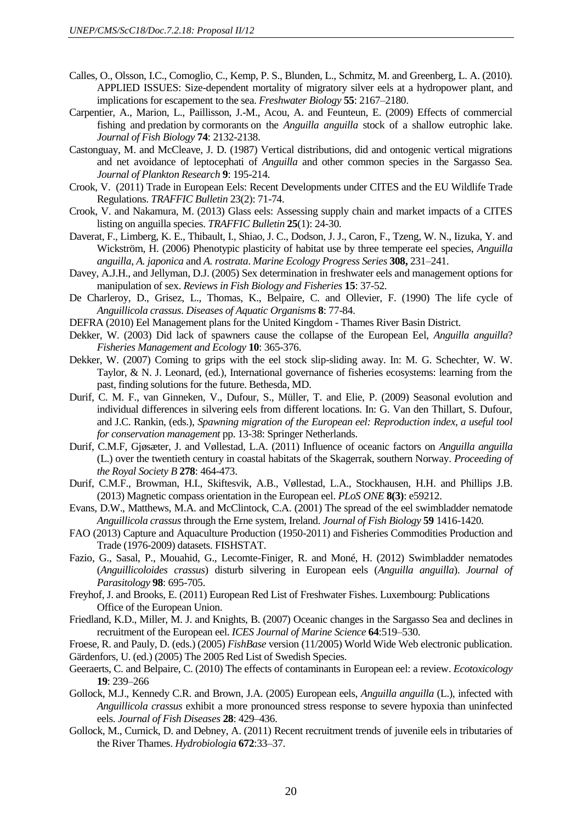- Calles, O., Olsson, I.C., Comoglio, C., Kemp, P. S., Blunden, L., Schmitz, M. and Greenberg, L. A. (2010). APPLIED ISSUES: Size-dependent mortality of migratory silver eels at a hydropower plant, and implications for escapement to the sea. *Freshwater Biology* **55**: 2167–2180.
- Carpentier, A., Marion, L., Paillisson, J.-M., Acou, A. and Feunteun, E. (2009) Effects of commercial fishing and predation by cormorants on the *Anguilla anguilla* stock of a shallow eutrophic lake. *Journal of Fish Biology* **74**: 2132-2138.
- Castonguay, M. and McCleave, J. D. (1987) Vertical distributions, did and ontogenic vertical migrations and net avoidance of leptocephati of *Anguilla* and other common species in the Sargasso Sea. *Journal of Plankton Research* **9**: 195-214.
- Crook, V. (2011) Trade in European Eels: Recent Developments under CITES and the EU Wildlife Trade Regulations. *TRAFFIC Bulletin* 23(2): 71-74.
- Crook, V. and Nakamura, M. (2013) Glass eels: Assessing supply chain and market impacts of a CITES listing on anguilla species. *TRAFFIC Bulletin* **25**(1): 24-30.
- Daverat, F., Limberg, K. E., Thibault, I., Shiao, J. C., Dodson, J. J., Caron, F., Tzeng, W. N., Iizuka, Y. and Wickström, H. (2006) Phenotypic plasticity of habitat use by three temperate eel species, *Anguilla anguilla*, *A. japonica* and *A. rostrata*. *Marine Ecology Progress Series* **308,** 231–241.
- Davey, A.J.H., and Jellyman, D.J. (2005) Sex determination in freshwater eels and management options for manipulation of sex. *Reviews in Fish Biology and Fisheries* **15**: 37-52.
- De Charleroy, D., Grisez, L., Thomas, K., Belpaire, C. and Ollevier, F. (1990) The life cycle of *Anguillicola crassus*. *Diseases of Aquatic Organisms* **8**: 77-84.
- DEFRA (2010) Eel Management plans for the United Kingdom Thames River Basin District.
- Dekker, W. (2003) Did lack of spawners cause the collapse of the European Eel, *Anguilla anguilla*? *Fisheries Management and Ecology* **10**: 365-376.
- Dekker, W. (2007) Coming to grips with the eel stock slip-sliding away. In: M. G. Schechter, W. W. Taylor, & N. J. Leonard, (ed.), International governance of fisheries ecosystems: learning from the past, finding solutions for the future. Bethesda, MD.
- Durif, C. M. F., van Ginneken, V., Dufour, S., Müller, T. and Elie, P. (2009) Seasonal evolution and individual differences in silvering eels from different locations. In: G. Van den Thillart, S. Dufour, and J.C. Rankin, (eds.), *Spawning migration of the European eel: Reproduction index, a useful tool for conservation management* pp. 13-38: Springer Netherlands.
- Durif, C.M.F, Gjøsæter, J. and Vøllestad, L.A. (2011) Influence of oceanic factors on *Anguilla anguilla* (L.) over the twentieth century in coastal habitats of the Skagerrak, southern Norway. *Proceeding of the Royal Society B* **278**: 464-473.
- Durif, C.M.F., Browman, H.I., Skiftesvik, A.B., Vøllestad, L.A., Stockhausen, H.H. and Phillips J.B. (2013) Magnetic compass orientation in the European eel. *PLoS ONE* **8(3)**: e59212.
- Evans, D.W., Matthews, M.A. and McClintock, C.A. (2001) The spread of the eel swimbladder nematode *Anguillicola crassus* through the Erne system, Ireland. *Journal of Fish Biology* **59** 1416-1420.
- FAO (2013) Capture and Aquaculture Production (1950-2011) and Fisheries Commodities Production and Trade (1976-2009) datasets. FISHSTAT.
- Fazio, G., Sasal, P., Mouahid, G., Lecomte-Finiger, R. and Moné, H. (2012) Swimbladder nematodes (*Anguillicoloides crassus*) disturb silvering in European eels (*Anguilla anguilla*). *Journal of Parasitology* **98**: 695-705.
- Freyhof, J. and Brooks, E. (2011) European Red List of Freshwater Fishes. Luxembourg: Publications Office of the European Union.
- Friedland, K.D., Miller, M. J. and Knights, B. (2007) Oceanic changes in the Sargasso Sea and declines in recruitment of the European eel. *ICES Journal of Marine Science* **64**:519–530.

Froese, R. and Pauly, D. (eds.) (2005) *FishBase* version (11/2005) World Wide Web electronic publication. Gärdenfors, U. (ed.) (2005) The 2005 Red List of Swedish Species.

- Geeraerts, C. and Belpaire, C. (2010) The effects of contaminants in European eel: a review. *Ecotoxicology* **19**: 239–266
- Gollock, M.J., Kennedy C.R. and Brown, J.A. (2005) European eels, *Anguilla anguilla* (L.), infected with *Anguillicola crassus* exhibit a more pronounced stress response to severe hypoxia than uninfected eels. *Journal of Fish Diseases* **28**: 429–436.
- Gollock, M., Curnick, D. and Debney, A. (2011) Recent recruitment trends of juvenile eels in tributaries of the River Thames. *Hydrobiologia* **672**:33–37.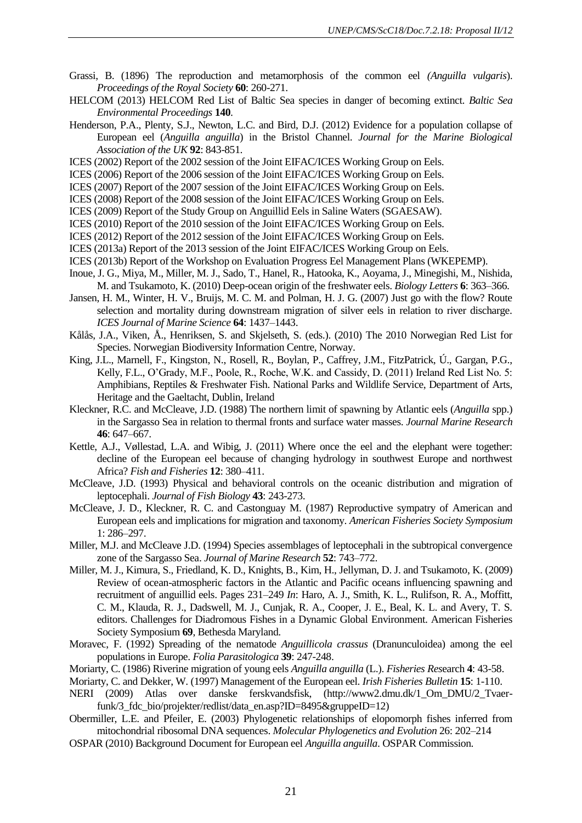- Grassi, B. (1896) The reproduction and metamorphosis of the common eel *(Anguilla vulgaris*). *Proceedings of the Royal Society* **60**: 260-271.
- HELCOM (2013) HELCOM Red List of Baltic Sea species in danger of becoming extinct. *Baltic Sea Environmental Proceedings* **140**.
- Henderson, P.A., Plenty, S.J., Newton, L.C. and Bird, D.J. (2012) Evidence for a population collapse of European eel (*Anguilla anguilla*) in the Bristol Channel. *Journal for the Marine Biological Association of the UK* **92**: 843-851.
- ICES (2002) Report of the 2002 session of the Joint EIFAC/ICES Working Group on Eels.
- ICES (2006) Report of the 2006 session of the Joint EIFAC/ICES Working Group on Eels.
- ICES (2007) Report of the 2007 session of the Joint EIFAC/ICES Working Group on Eels.
- ICES (2008) Report of the 2008 session of the Joint EIFAC/ICES Working Group on Eels.
- ICES (2009) Report of the Study Group on Anguillid Eels in Saline Waters (SGAESAW).
- ICES (2010) Report of the 2010 session of the Joint EIFAC/ICES Working Group on Eels.
- ICES (2012) Report of the 2012 session of the Joint EIFAC/ICES Working Group on Eels.
- ICES (2013a) Report of the 2013 session of the Joint EIFAC/ICES Working Group on Eels.
- ICES (2013b) Report of the Workshop on Evaluation Progress Eel Management Plans (WKEPEMP).
- Inoue, J. G., Miya, M., Miller, M. J., Sado, T., Hanel, R., Hatooka, K., Aoyama, J., Minegishi, M., Nishida, M. and Tsukamoto, K. (2010) Deep-ocean origin of the freshwater eels. *Biology Letters* **6**: 363–366.
- Jansen, H. M., Winter, H. V., Bruijs, M. C. M. and Polman, H. J. G. (2007) Just go with the flow? Route selection and mortality during downstream migration of silver eels in relation to river discharge. *ICES Journal of Marine Science* **64**: 1437–1443.
- Kålås, J.A., Viken, Å., Henriksen, S. and Skjelseth, S. (eds.). (2010) The 2010 Norwegian Red List for Species. Norwegian Biodiversity Information Centre, Norway.
- King, J.L., Marnell, F., Kingston, N., Rosell, R., Boylan, P., Caffrey, J.M., FitzPatrick, Ú., Gargan, P.G., Kelly, F.L., O'Grady, M.F., Poole, R., Roche, W.K. and Cassidy, D. (2011) Ireland Red List No. 5: Amphibians, Reptiles & Freshwater Fish. National Parks and Wildlife Service, Department of Arts, Heritage and the Gaeltacht, Dublin, Ireland
- Kleckner, R.C. and McCleave, J.D. (1988) The northern limit of spawning by Atlantic eels (*Anguilla* spp.) in the Sargasso Sea in relation to thermal fronts and surface water masses. *Journal Marine Research* **46**: 647–667.
- Kettle, A.J., Vøllestad, L.A. and Wibig, J. (2011) Where once the eel and the elephant were together: decline of the European eel because of changing hydrology in southwest Europe and northwest Africa? *Fish and Fisheries* **12**: 380–411.
- McCleave, J.D. (1993) Physical and behavioral controls on the oceanic distribution and migration of leptocephali. *Journal of Fish Biology* **43**: 243-273.
- McCleave, J. D., Kleckner, R. C. and Castonguay M. (1987) Reproductive sympatry of American and European eels and implications for migration and taxonomy. *American Fisheries Society Symposium* 1: 286–297.
- Miller, M.J. and McCleave J.D. (1994) Species assemblages of leptocephali in the subtropical convergence zone of the Sargasso Sea. *Journal of Marine Research* **52**: 743–772.
- Miller, M. J., Kimura, S., Friedland, K. D., Knights, B., Kim, H., Jellyman, D. J. and Tsukamoto, K. (2009) Review of ocean-atmospheric factors in the Atlantic and Pacific oceans influencing spawning and recruitment of anguillid eels. Pages 231–249 *In*: Haro, A. J., Smith, K. L., Rulifson, R. A., Moffitt, C. M., Klauda, R. J., Dadswell, M. J., Cunjak, R. A., Cooper, J. E., Beal, K. L. and Avery, T. S. editors. Challenges for Diadromous Fishes in a Dynamic Global Environment. American Fisheries Society Symposium **69**, Bethesda Maryland.
- Moravec, F. (1992) Spreading of the nematode *Anguillicola crassus* (Dranunculoidea) among the eel populations in Europe. *Folia Parasitologica* **39**: 247-248.
- Moriarty, C. (1986) Riverine migration of young eels *Anguilla anguilla* (L.). *Fisheries Res*earch **4**: 43-58.
- Moriarty, C. and Dekker, W. (1997) Management of the European eel. *Irish Fisheries Bulletin* **15**: 1-110.
- NERI (2009) Atlas over danske ferskvandsfisk, (http://www2.dmu.dk/1\_Om\_DMU/2\_Tvaerfunk/3 fdc\_bio/projekter/redlist/data\_en.asp?ID=8495&gruppeID=12)
- Obermiller, L.E. and Pfeiler, E. (2003) Phylogenetic relationships of elopomorph fishes inferred from mitochondrial ribosomal DNA sequences. *Molecular Phylogenetics and Evolution* 26: 202–214
- OSPAR (2010) Background Document for European eel *Anguilla anguilla*. OSPAR Commission.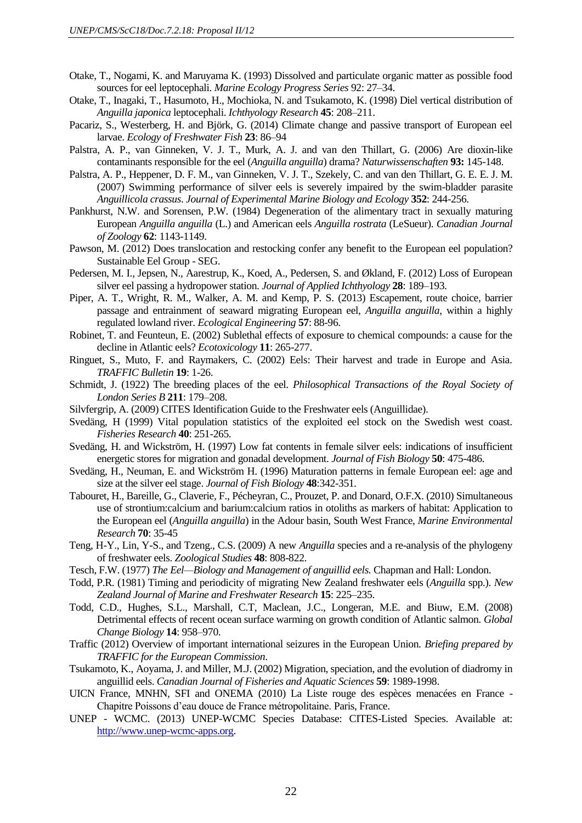- Otake, T., Nogami, K. and Maruyama K. (1993) Dissolved and particulate organic matter as possible food sources for eel leptocephali. *Marine Ecology Progress Series* 92: 27–34.
- Otake, T., Inagaki, T., Hasumoto, H., Mochioka, N. and Tsukamoto, K. (1998) Diel vertical distribution of *Anguilla japonica* leptocephali. *Ichthyology Research* **45**: 208–211.
- Pacariz, S., Westerberg, H. and Björk, G. (2014) Climate change and passive transport of European eel larvae. *Ecology of Freshwater Fish* **23**: 86–94
- Palstra, A. P., van Ginneken, V. J. T., Murk, A. J. and van den Thillart, G. (2006) Are dioxin-like contaminants responsible for the eel (*Anguilla anguilla*) drama? *Naturwissenschaften* **93:** 145-148.
- Palstra, A. P., Heppener, D. F. M., van Ginneken, V. J. T., Szekely, C. and van den Thillart, G. E. E. J. M. (2007) Swimming performance of silver eels is severely impaired by the swim-bladder parasite *Anguillicola crassus*. *Journal of Experimental Marine Biology and Ecology* **352**: 244-256.
- Pankhurst, N.W. and Sorensen, P.W. (1984) Degeneration of the alimentary tract in sexually maturing European *Anguilla anguilla* (L.) and American eels *Anguilla rostrata* (LeSueur). *Canadian Journal of Zoology* **62**: 1143-1149.
- Pawson, M. (2012) Does translocation and restocking confer any benefit to the European eel population? Sustainable Eel Group - SEG.
- Pedersen, M. I., Jepsen, N., Aarestrup, K., Koed, A., Pedersen, S. and Økland, F. (2012) Loss of European silver eel passing a hydropower station. *Journal of Applied Ichthyology* **28**: 189–193.
- Piper, A. T., Wright, R. M., Walker, A. M. and Kemp, P. S. (2013) Escapement, route choice, barrier passage and entrainment of seaward migrating European eel, *Anguilla anguilla*, within a highly regulated lowland river. *Ecological Engineering* **57**: 88-96.
- Robinet, T. and Feunteun, E. (2002) Sublethal effects of exposure to chemical compounds: a cause for the decline in Atlantic eels? *Ecotoxicology* **11**: 265-277.
- Ringuet, S., Muto, F. and Raymakers, C. (2002) Eels: Their harvest and trade in Europe and Asia. *TRAFFIC Bulletin* **19**: 1-26.
- Schmidt, J. (1922) The breeding places of the eel. *Philosophical Transactions of the Royal Society of London Series B* **211**: 179–208.
- Silvfergrip, A. (2009) CITES Identification Guide to the Freshwater eels (Anguillidae).
- Svedäng, H (1999) Vital population statistics of the exploited eel stock on the Swedish west coast. *Fisheries Research* **40**: 251-265.
- Svedäng, H. and Wickström, H. (1997) Low fat contents in female silver eels: indications of insufficient energetic stores for migration and gonadal development. *Journal of Fish Biology* **50**: 475-486.
- Svedäng, H., Neuman, E. and Wickström H. (1996) Maturation patterns in female European eel: age and size at the silver eel stage. *Journal of Fish Biology* **48**:342-351*.*
- Tabouret, H., Bareille, G., Claverie, F., Pécheyran, C., Prouzet, P. and Donard, O.F.X. (2010) Simultaneous use of strontium:calcium and barium:calcium ratios in otoliths as markers of habitat: Application to the European eel (*Anguilla anguilla*) in the Adour basin, South West France, *Marine Environmental Research* **70**: 35-45
- Teng, H-Y., Lin, Y-S., and Tzeng., C.S. (2009) A new *Anguilla* species and a re-analysis of the phylogeny of freshwater eels. *Zoological Studies* **48**: 808-822.
- Tesch, F.W. (1977) *The Eel—Biology and Management of anguillid eels.* Chapman and Hall: London.
- Todd, P.R. (1981) Timing and periodicity of migrating New Zealand freshwater eels (*Anguilla* spp.). *New Zealand Journal of Marine and Freshwater Research* **15**: 225–235.
- Todd, C.D., Hughes, S.L., Marshall, C.T, Maclean, J.C., Longeran, M.E. and Biuw, E.M. (2008) Detrimental effects of recent ocean surface warming on growth condition of Atlantic salmon. *Global Change Biology* **14**: 958–970.
- Traffic (2012) Overview of important international seizures in the European Union. *Briefing prepared by TRAFFIC for the European Commission*.
- Tsukamoto, K., Aoyama, J. and Miller, M.J. (2002) Migration, speciation, and the evolution of diadromy in anguillid eels. *Canadian Journal of Fisheries and Aquatic Sciences* **59**: 1989-1998.
- UICN France, MNHN, SFI and ONEMA (2010) La Liste rouge des espèces menacées en France Chapitre Poissons d'eau douce de France métropolitaine. Paris, France.
- UNEP WCMC. (2013) UNEP-WCMC Species Database: CITES-Listed Species. Available at: [http://www.unep-wcmc-apps.org.](http://www.unep-wcmc-apps.org/)